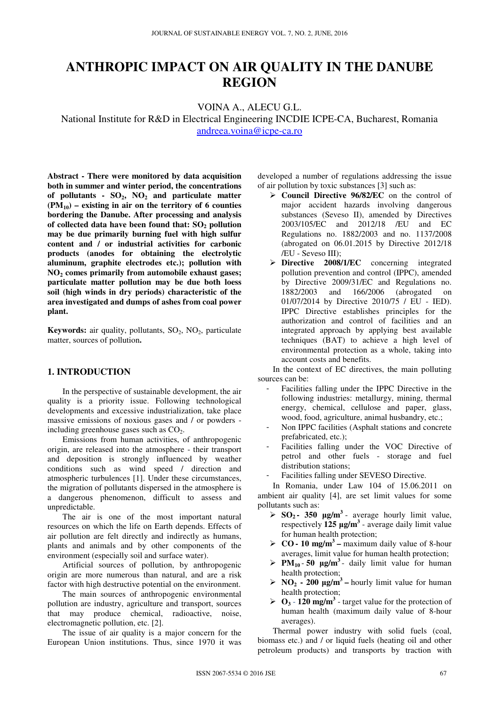# **ANTHROPIC IMPACT ON AIR QUALITY IN THE DANUBE REGION**

VOINA A., ALECU G.L.

National Institute for R&D in Electrical Engineering INCDIE ICPE-CA, Bucharest, Romania andreea.voina@icpe-ca.ro

**Abstract - There were monitored by data acquisition both in summer and winter period, the concentrations of pollutants - SO2, NO2 and particulate matter (PM10) – existing in air on the territory of 6 counties bordering the Danube. After processing and analysis of collected data have been found that: SO2 pollution may be due primarily burning fuel with high sulfur content and / or industrial activities for carbonic products (anodes for obtaining the electrolytic aluminum, graphite electrodes etc.); pollution with NO2 comes primarily from automobile exhaust gases; particulate matter pollution may be due both loess soil (high winds in dry periods) characteristic of the area investigated and dumps of ashes from coal power plant.**

**Keywords:** air quality, pollutants, SO<sub>2</sub>, NO<sub>2</sub>, particulate matter, sources of pollution**.** 

#### **1. INTRODUCTION**

In the perspective of sustainable development, the air quality is a priority issue. Following technological developments and excessive industrialization, take place massive emissions of noxious gases and / or powders including greenhouse gases such as  $CO<sub>2</sub>$ .

Emissions from human activities, of anthropogenic origin, are released into the atmosphere - their transport and deposition is strongly influenced by weather conditions such as wind speed / direction and atmospheric turbulences [1]. Under these circumstances, the migration of pollutants dispersed in the atmosphere is a dangerous phenomenon, difficult to assess and unpredictable.

The air is one of the most important natural resources on which the life on Earth depends. Effects of air pollution are felt directly and indirectly as humans, plants and animals and by other components of the environment (especially soil and surface water).

Artificial sources of pollution, by anthropogenic origin are more numerous than natural, and are a risk factor with high destructive potential on the environment.

The main sources of anthropogenic environmental pollution are industry, agriculture and transport, sources that may produce chemical, radioactive, noise, electromagnetic pollution, etc. [2].

The issue of air quality is a major concern for the European Union institutions. Thus, since 1970 it was

developed a number of regulations addressing the issue of air pollution by toxic substances [3] such as:

- **Council Directive 96/82/EC** on the control of major accident hazards involving dangerous substances (Seveso II), amended by Directives 2003/105/EC and 2012/18 /EU and EC Regulations no. 1882/2003 and no. 1137/2008 (abrogated on 06.01.2015 by Directive 2012/18 /EU - Seveso III);
- **Directive 2008/1/EC** concerning integrated pollution prevention and control (IPPC), amended by Directive 2009/31/EC and Regulations no. 1882/2003 and 166/2006 (abrogated on 01/07/2014 by Directive 2010/75 / EU - IED). IPPC Directive establishes principles for the authorization and control of facilities and an integrated approach by applying best available techniques (BAT) to achieve a high level of environmental protection as a whole, taking into account costs and benefits.

In the context of EC directives, the main polluting sources can be:

- Facilities falling under the IPPC Directive in the following industries: metallurgy, mining, thermal energy, chemical, cellulose and paper, glass, wood, food, agriculture, animal husbandry, etc.;
- Non IPPC facilities (Asphalt stations and concrete prefabricated, etc.);
- Facilities falling under the VOC Directive of petrol and other fuels - storage and fuel distribution stations;
- Facilities falling under SEVESO Directive.

In Romania, under Law 104 of 15.06.2011 on ambient air quality [4], are set limit values for some pollutants such as:

- $\triangleright$  **SO**<sub>2</sub>  **350 µg/m<sup>3</sup> average hourly limit value,** respectively **125 µg/m<sup>3</sup>** - average daily limit value for human health protection;
- $\triangleright$  **CO 10 mg/m<sup>3</sup> maximum daily value of 8-hour** averages, limit value for human health protection;
- $\triangleright$  **PM**<sub>10</sub> 50 **µg/m<sup>3</sup>** daily limit value for human health protection;
- $\triangleright$  **NO**<sub>2</sub>  **200 µg/m<sup>3</sup> hourly limit value for human** health protection;
- $\triangleright$  **O**<sub>3</sub> 120 mg/m<sup>3</sup> target value for the protection of human health (maximum daily value of 8-hour averages).

Thermal power industry with solid fuels (coal, biomass etc.) and / or liquid fuels (heating oil and other petroleum products) and transports by traction with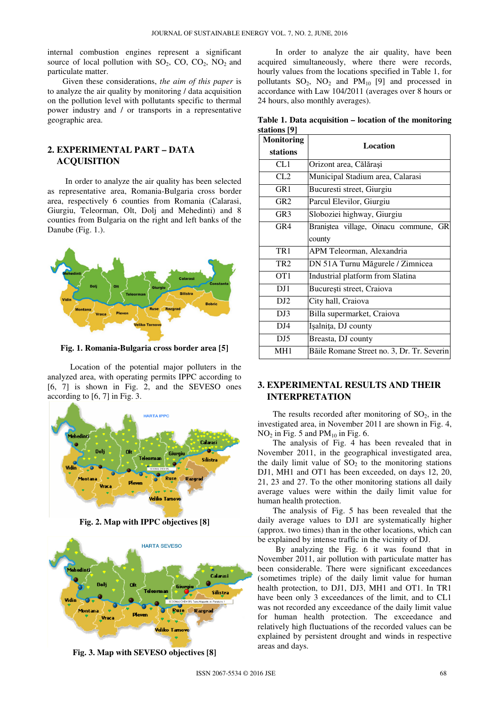internal combustion engines represent a significant source of local pollution with  $SO_2$ ,  $CO$ ,  $CO_2$ ,  $NO_2$  and particulate matter.

Given these considerations, *the aim of this paper* is to analyze the air quality by monitoring / data acquisition on the pollution level with pollutants specific to thermal power industry and / or transports in a representative geographic area.

## **2. EXPERIMENTAL PART – DATA ACQUISITION**

In order to analyze the air quality has been selected as representative area, Romania-Bulgaria cross border area, respectively 6 counties from Romania (Calarasi, Giurgiu, Teleorman, Olt, Dolj and Mehedinti) and 8 counties from Bulgaria on the right and left banks of the Danube (Fig. 1.).



**Fig. 1. Romania-Bulgaria cross border area [5]** 

Location of the potential major polluters in the analyzed area, with operating permits IPPC according to [6, 7] is shown in Fig. 2, and the SEVESO ones according to [6, 7] in Fig. 3.



**Fig. 2. Map with IPPC objectives [8]** 



**Fig. 3. Map with SEVESO objectives [8]** 

In order to analyze the air quality, have been acquired simultaneously, where there were records, hourly values from the locations specified in Table 1, for pollutants  $SO_2$ ,  $NO_2$  and  $PM_{10}$  [9] and processed in accordance with Law 104/2011 (averages over 8 hours or 24 hours, also monthly averages).

**Table 1. Data acquisition – location of the monitoring stations [9]** 

| <b>Monitoring</b> | Location                                   |
|-------------------|--------------------------------------------|
| stations          |                                            |
| CL1               | Orizont area, Călărași                     |
| CL2               | Municipal Stadium area, Calarasi           |
| GR <sub>1</sub>   | Bucuresti street, Giurgiu                  |
| GR2               | Parcul Elevilor, Giurgiu                   |
| GR <sub>3</sub>   | Sloboziei highway, Giurgiu                 |
| GR4               | Braniștea village, Oinacu commune, GR      |
|                   | county                                     |
| TR <sub>1</sub>   | APM Teleorman, Alexandria                  |
| TR <sub>2</sub>   | DN 51A Turnu Măgurele / Zimnicea           |
| OT <sub>1</sub>   | Industrial platform from Slatina           |
| DJ1               | București street, Craiova                  |
| DJ <sub>2</sub>   | City hall, Craiova                         |
| DJ3               | Billa supermarket, Craiova                 |
| DJ4               | Işalnița, DJ county                        |
| DJ5               | Breasta, DJ county                         |
| MH <sub>1</sub>   | Băile Romane Street no. 3, Dr. Tr. Severin |

## **3. EXPERIMENTAL RESULTS AND THEIR INTERPRETATION**

The results recorded after monitoring of  $SO<sub>2</sub>$ , in the investigated area, in November 2011 are shown in Fig. 4,  $NO<sub>2</sub>$  in Fig. 5 and PM<sub>10</sub> in Fig. 6.

The analysis of Fig. 4 has been revealed that in November 2011, in the geographical investigated area, the daily limit value of  $SO<sub>2</sub>$  to the monitoring stations DJ1, MH1 and OT1 has been exceeded, on days 12, 20, 21, 23 and 27. To the other monitoring stations all daily average values were within the daily limit value for human health protection.

The analysis of Fig. 5 has been revealed that the daily average values to DJ1 are systematically higher (approx. two times) than in the other locations, which can be explained by intense traffic in the vicinity of DJ.

By analyzing the Fig. 6 it was found that in November 2011, air pollution with particulate matter has been considerable. There were significant exceedances (sometimes triple) of the daily limit value for human health protection, to DJ1, DJ3, MH1 and OT1. In TR1 have been only 3 exceedances of the limit, and to CL1 was not recorded any exceedance of the daily limit value for human health protection. The exceedance and relatively high fluctuations of the recorded values can be explained by persistent drought and winds in respective areas and days.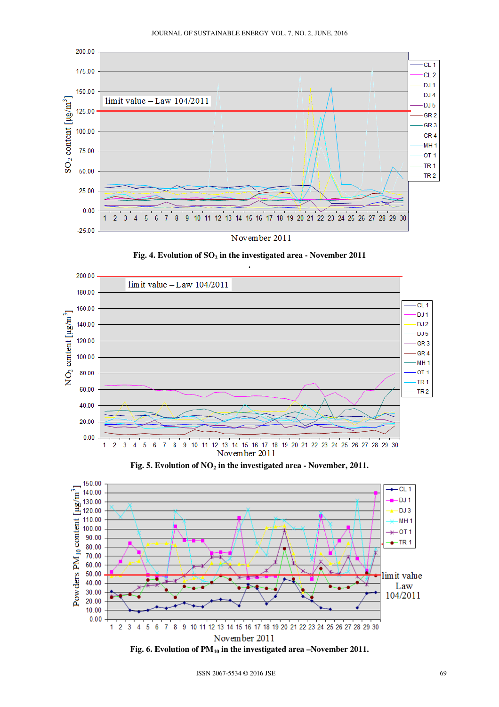







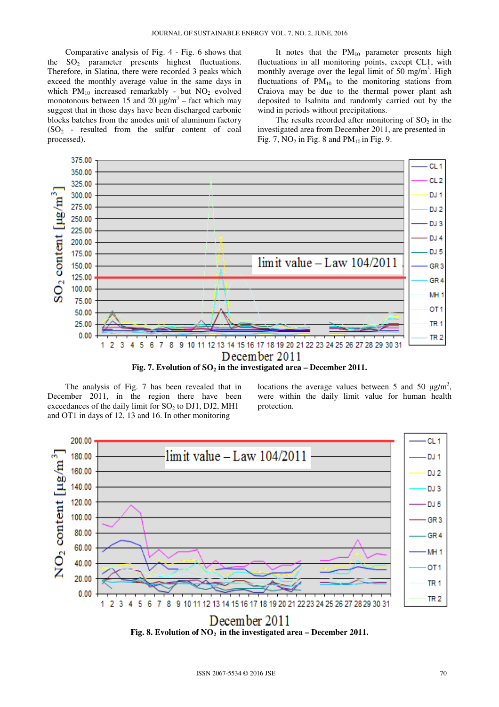Comparative analysis of Fig. 4 - Fig. 6 shows that the  $SO_2$  parameter presents highest fluctuations. Therefore, in Slatina, there were recorded 3 peaks which exceed the monthly average value in the same days in which  $PM_{10}$  increased remarkably - but  $NO_2$  evolved monotonous between 15 and 20  $\mu$ g/m<sup>3</sup> – fact which may suggest that in those days have been discharged carbonic blocks batches from the anodes unit of aluminum factory  $(SO<sub>2</sub> - resulted from the sulfur content of coal)$ processed).

It notes that the  $PM_{10}$  parameter presents high fluctuations in all monitoring points, except CL1, with monthly average over the legal limit of 50 mg/m<sup>3</sup>. High fluctuations of  $PM_{10}$  to the monitoring stations from Craiova may be due to the thermal power plant ash deposited to Isalnita and randomly carried out by the wind in periods without precipitations.

The results recorded after monitoring of  $SO<sub>2</sub>$  in the investigated area from December 2011, are presented in Fig. 7,  $NO<sub>2</sub>$  in Fig. 8 and PM<sub>10</sub> in Fig. 9.



The analysis of Fig. 7 has been revealed that in December 2011, in the region there have been exceedances of the daily limit for  $SO<sub>2</sub>$  to DJ1, DJ2, MH1 and OT1 in days of 12, 13 and 16. In other monitoring

locations the average values between 5 and 50  $\mu$ g/m<sup>3</sup>, were within the daily limit value for human health protection.



**Fig. 8. Evolution of NO<sup>2</sup> in the investigated area – December 2011.**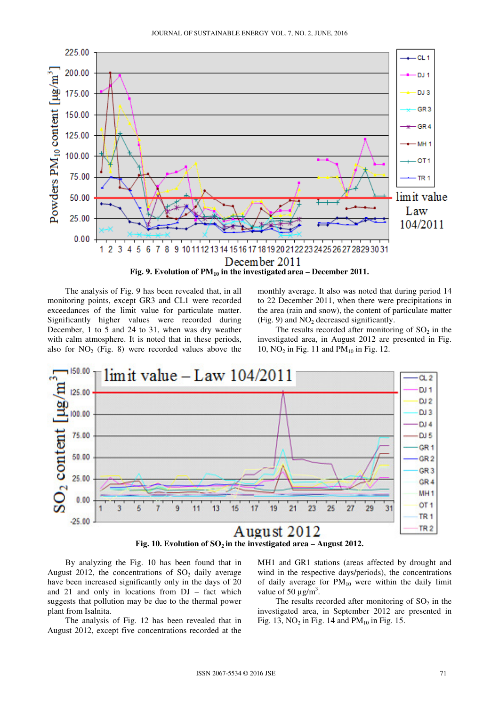

The analysis of Fig. 9 has been revealed that, in all monitoring points, except GR3 and CL1 were recorded exceedances of the limit value for particulate matter. Significantly higher values were recorded during December, 1 to 5 and 24 to 31, when was dry weather with calm atmosphere. It is noted that in these periods, also for  $NO<sub>2</sub>$  (Fig. 8) were recorded values above the

monthly average. It also was noted that during period 14 to 22 December 2011, when there were precipitations in the area (rain and snow), the content of particulate matter (Fig. 9) and  $NO<sub>2</sub>$  decreased significantly.

The results recorded after monitoring of  $SO<sub>2</sub>$  in the investigated area, in August 2012 are presented in Fig. 10,  $NO<sub>2</sub>$  in Fig. 11 and  $PM<sub>10</sub>$  in Fig. 12.



By analyzing the Fig. 10 has been found that in August 2012, the concentrations of  $SO<sub>2</sub>$  daily average have been increased significantly only in the days of 20 and 21 and only in locations from DJ – fact which suggests that pollution may be due to the thermal power plant from Isalnita.

The analysis of Fig. 12 has been revealed that in August 2012, except five concentrations recorded at the

MH1 and GR1 stations (areas affected by drought and wind in the respective days/periods), the concentrations of daily average for  $PM_{10}$  were within the daily limit value of 50  $\mu$ g/m<sup>3</sup>.

The results recorded after monitoring of  $SO<sub>2</sub>$  in the investigated area, in September 2012 are presented in Fig. 13, NO<sub>2</sub> in Fig. 14 and  $PM<sub>10</sub>$  in Fig. 15.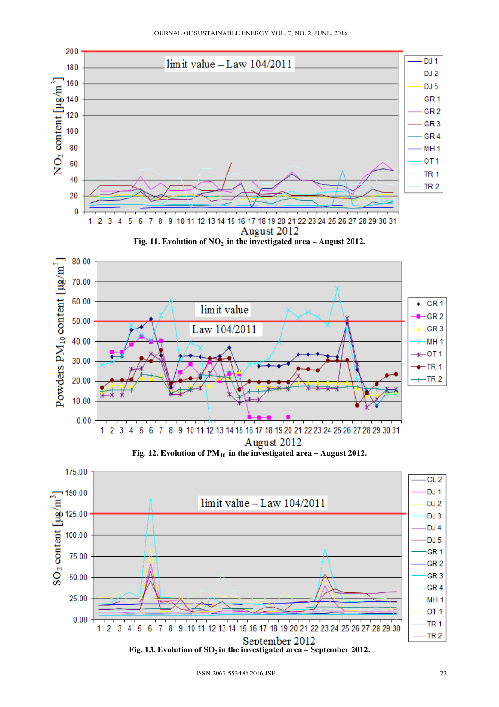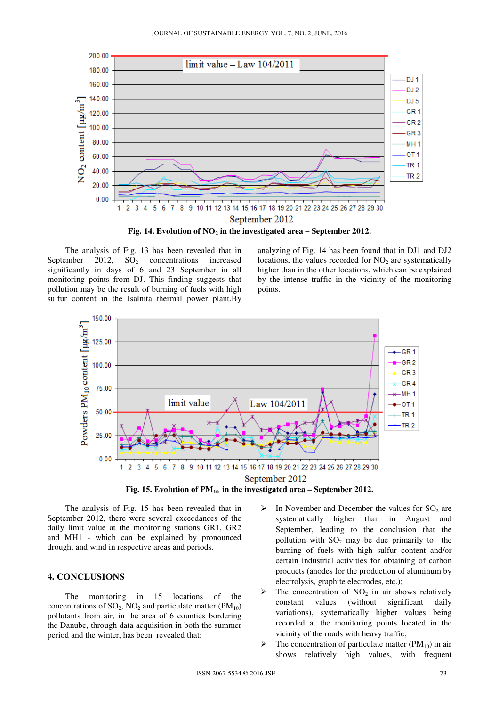

The analysis of Fig. 13 has been revealed that in September 2012,  $SO<sub>2</sub>$  concentrations increased significantly in days of 6 and 23 September in all monitoring points from DJ. This finding suggests that pollution may be the result of burning of fuels with high sulfur content in the Isalnita thermal power plant.By

analyzing of Fig. 14 has been found that in DJ1 and DJ2 locations, the values recorded for  $NO<sub>2</sub>$  are systematically higher than in the other locations, which can be explained by the intense traffic in the vicinity of the monitoring points.



The analysis of Fig. 15 has been revealed that in September 2012, there were several exceedances of the daily limit value at the monitoring stations GR1, GR2 and MH1 - which can be explained by pronounced drought and wind in respective areas and periods.

## **4. CONCLUSIONS**

The monitoring in 15 locations of the concentrations of  $SO_2$ ,  $NO_2$  and particulate matter ( $PM_{10}$ ) pollutants from air, in the area of 6 counties bordering the Danube, through data acquisition in both the summer period and the winter, has been revealed that:

- $\triangleright$  In November and December the values for SO<sub>2</sub> are systematically higher than in August and September, leading to the conclusion that the pollution with  $SO_2$  may be due primarily to the burning of fuels with high sulfur content and/or certain industrial activities for obtaining of carbon products (anodes for the production of aluminum by electrolysis, graphite electrodes, etc.);
- The concentration of  $NO<sub>2</sub>$  in air shows relatively constant values (without significant daily variations), systematically higher values being recorded at the monitoring points located in the vicinity of the roads with heavy traffic;
- $\triangleright$  The concentration of particulate matter (PM<sub>10</sub>) in air shows relatively high values, with frequent